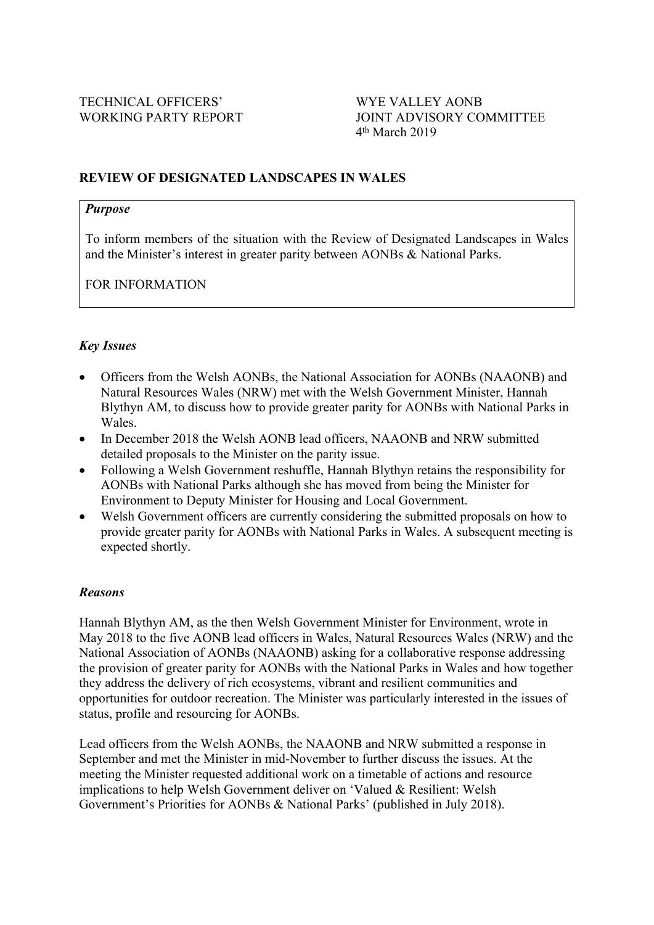### **REVIEW OF DESIGNATED LANDSCAPES IN WALES**

#### *Purpose*

To inform members of the situation with the Review of Designated Landscapes in Wales and the Minister's interest in greater parity between AONBs & National Parks.

FOR INFORMATION

### *Key Issues*

- Officers from the Welsh AONBs, the National Association for AONBs (NAAONB) and Natural Resources Wales (NRW) met with the Welsh Government Minister, Hannah Blythyn AM, to discuss how to provide greater parity for AONBs with National Parks in Wales.
- In December 2018 the Welsh AONB lead officers, NAAONB and NRW submitted detailed proposals to the Minister on the parity issue.
- Following a Welsh Government reshuffle, Hannah Blythyn retains the responsibility for AONBs with National Parks although she has moved from being the Minister for Environment to Deputy Minister for Housing and Local Government.
- Welsh Government officers are currently considering the submitted proposals on how to provide greater parity for AONBs with National Parks in Wales. A subsequent meeting is expected shortly.

#### *Reasons*

Hannah Blythyn AM, as the then Welsh Government Minister for Environment, wrote in May 2018 to the five AONB lead officers in Wales, Natural Resources Wales (NRW) and the National Association of AONBs (NAAONB) asking for a collaborative response addressing the provision of greater parity for AONBs with the National Parks in Wales and how together they address the delivery of rich ecosystems, vibrant and resilient communities and opportunities for outdoor recreation. The Minister was particularly interested in the issues of status, profile and resourcing for AONBs.

Lead officers from the Welsh AONBs, the NAAONB and NRW submitted a response in September and met the Minister in mid-November to further discuss the issues. At the meeting the Minister requested additional work on a timetable of actions and resource implications to help Welsh Government deliver on 'Valued & Resilient: Welsh Government's Priorities for AONBs & National Parks' (published in July 2018).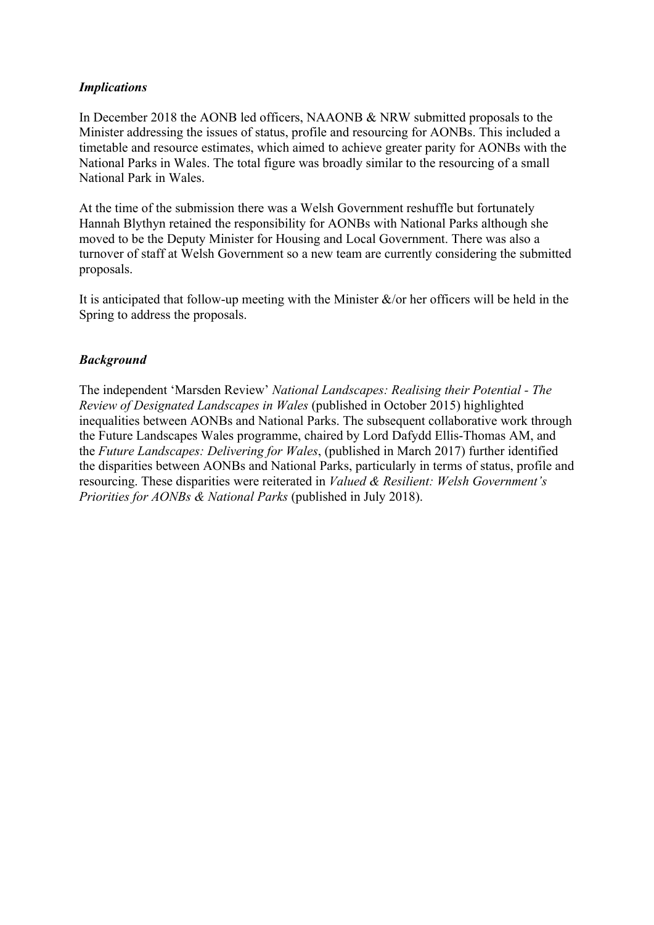### *Implications*

In December 2018 the AONB led officers, NAAONB & NRW submitted proposals to the Minister addressing the issues of status, profile and resourcing for AONBs. This included a timetable and resource estimates, which aimed to achieve greater parity for AONBs with the National Parks in Wales. The total figure was broadly similar to the resourcing of a small National Park in Wales.

At the time of the submission there was a Welsh Government reshuffle but fortunately Hannah Blythyn retained the responsibility for AONBs with National Parks although she moved to be the Deputy Minister for Housing and Local Government. There was also a turnover of staff at Welsh Government so a new team are currently considering the submitted proposals.

It is anticipated that follow-up meeting with the Minister  $\&$ /or her officers will be held in the Spring to address the proposals.

### *Background*

The independent 'Marsden Review' *National Landscapes: Realising their Potential - The Review of Designated Landscapes in Wales* (published in October 2015) highlighted inequalities between AONBs and National Parks. The subsequent collaborative work through the Future Landscapes Wales programme, chaired by Lord Dafydd Ellis-Thomas AM, and the *Future Landscapes: Delivering for Wales*, (published in March 2017) further identified the disparities between AONBs and National Parks, particularly in terms of status, profile and resourcing. These disparities were reiterated in *Valued & Resilient: Welsh Government's Priorities for AONBs & National Parks* (published in July 2018).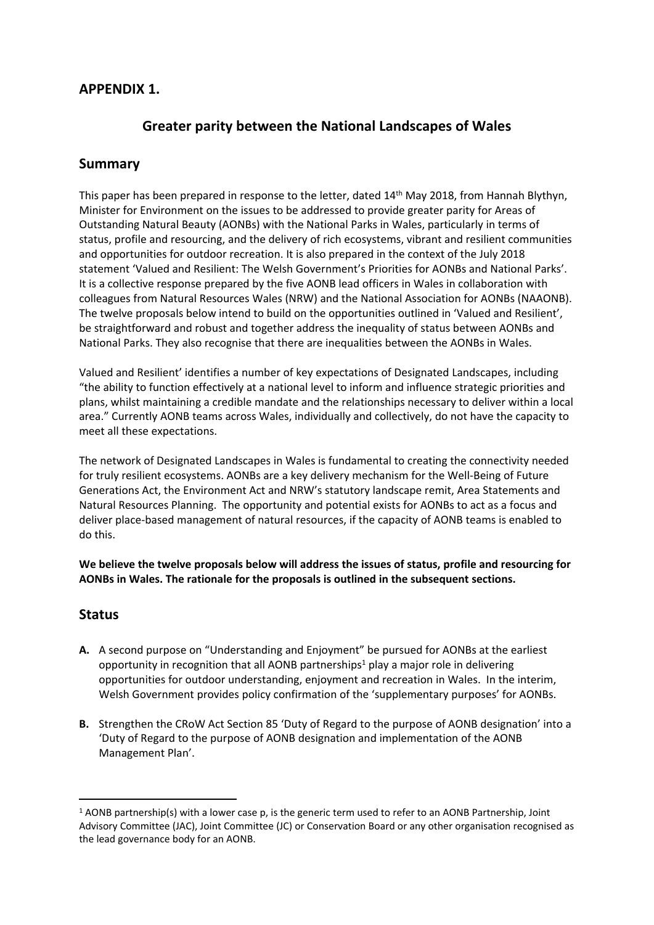### **APPENDIX 1.**

# **Greater parity between the National Landscapes of Wales**

### **Summary**

This paper has been prepared in response to the letter, dated 14<sup>th</sup> May 2018, from Hannah Blythyn, Minister for Environment on the issues to be addressed to provide greater parity for Areas of Outstanding Natural Beauty (AONBs) with the National Parks in Wales, particularly in terms of status, profile and resourcing, and the delivery of rich ecosystems, vibrant and resilient communities and opportunities for outdoor recreation. It is also prepared in the context of the July 2018 statement 'Valued and Resilient: The Welsh Government's Priorities for AONBs and National Parks'. It is a collective response prepared by the five AONB lead officers in Wales in collaboration with colleagues from Natural Resources Wales (NRW) and the National Association for AONBs (NAAONB). The twelve proposals below intend to build on the opportunities outlined in 'Valued and Resilient', be straightforward and robust and together address the inequality of status between AONBs and National Parks. They also recognise that there are inequalities between the AONBs in Wales.

Valued and Resilient' identifies a number of key expectations of Designated Landscapes, including "the ability to function effectively at a national level to inform and influence strategic priorities and plans, whilst maintaining a credible mandate and the relationships necessary to deliver within a local area." Currently AONB teams across Wales, individually and collectively, do not have the capacity to meet all these expectations.

The network of Designated Landscapes in Wales is fundamental to creating the connectivity needed for truly resilient ecosystems. AONBs are a key delivery mechanism for the Well-Being of Future Generations Act, the Environment Act and NRW's statutory landscape remit, Area Statements and Natural Resources Planning. The opportunity and potential exists for AONBs to act as a focus and deliver place-based management of natural resources, if the capacity of AONB teams is enabled to do this.

**We believe the twelve proposals below will address the issues of status, profile and resourcing for AONBs in Wales. The rationale for the proposals is outlined in the subsequent sections.**

### **Status**

- **A.** A second purpose on "Understanding and Enjoyment" be pursued for AONBs at the earliest opportunity in recognition that all AONB partnerships<sup>1</sup> play a major role in delivering opportunities for outdoor understanding, enjoyment and recreation in Wales. In the interim, Welsh Government provides policy confirmation of the 'supplementary purposes' for AONBs.
- **B.** Strengthen the CRoW Act Section 85 'Duty of Regard to the purpose of AONB designation' into a 'Duty of Regard to the purpose of AONB designation and implementation of the AONB Management Plan'.

 $1$  AONB partnership(s) with a lower case p, is the generic term used to refer to an AONB Partnership, Joint Advisory Committee (JAC), Joint Committee (JC) or Conservation Board or any other organisation recognised as the lead governance body for an AONB.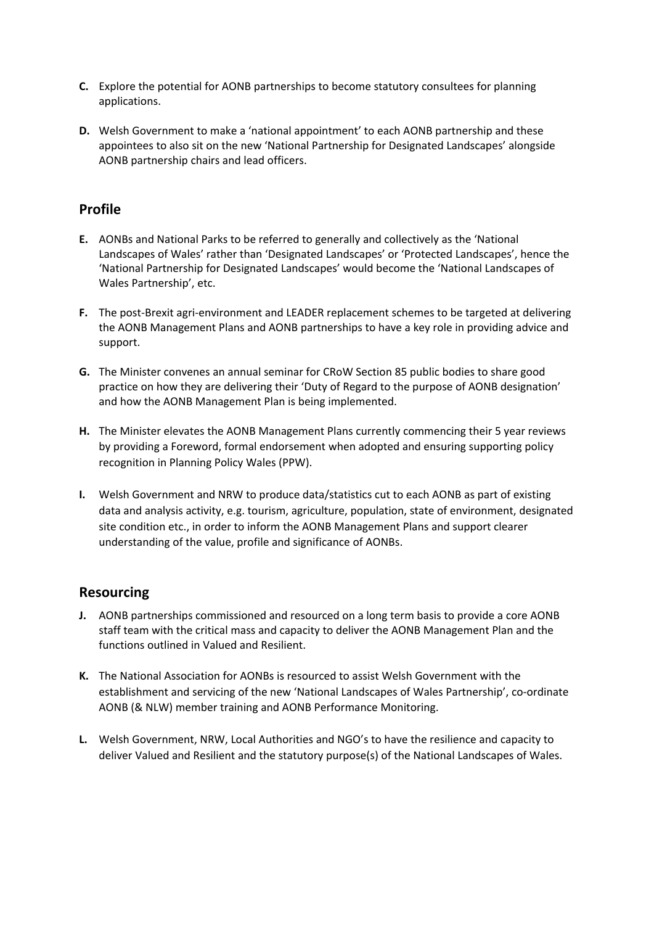- **C.** Explore the potential for AONB partnerships to become statutory consultees for planning applications.
- **D.** Welsh Government to make a 'national appointment' to each AONB partnership and these appointees to also sit on the new 'National Partnership for Designated Landscapes' alongside AONB partnership chairs and lead officers.

# **Profile**

- **E.** AONBs and National Parks to be referred to generally and collectively as the 'National Landscapes of Wales' rather than 'Designated Landscapes' or 'Protected Landscapes', hence the 'National Partnership for Designated Landscapes' would become the 'National Landscapes of Wales Partnership', etc.
- **F.** The post-Brexit agri-environment and LEADER replacement schemes to be targeted at delivering the AONB Management Plans and AONB partnerships to have a key role in providing advice and support.
- **G.** The Minister convenes an annual seminar for CRoW Section 85 public bodies to share good practice on how they are delivering their 'Duty of Regard to the purpose of AONB designation' and how the AONB Management Plan is being implemented.
- **H.** The Minister elevates the AONB Management Plans currently commencing their 5 year reviews by providing a Foreword, formal endorsement when adopted and ensuring supporting policy recognition in Planning Policy Wales (PPW).
- **I.** Welsh Government and NRW to produce data/statistics cut to each AONB as part of existing data and analysis activity, e.g. tourism, agriculture, population, state of environment, designated site condition etc., in order to inform the AONB Management Plans and support clearer understanding of the value, profile and significance of AONBs.

# **Resourcing**

- **J.** AONB partnerships commissioned and resourced on a long term basis to provide a core AONB staff team with the critical mass and capacity to deliver the AONB Management Plan and the functions outlined in Valued and Resilient.
- **K.** The National Association for AONBs is resourced to assist Welsh Government with the establishment and servicing of the new 'National Landscapes of Wales Partnership', co-ordinate AONB (& NLW) member training and AONB Performance Monitoring.
- **L.** Welsh Government, NRW, Local Authorities and NGO's to have the resilience and capacity to deliver Valued and Resilient and the statutory purpose(s) of the National Landscapes of Wales.